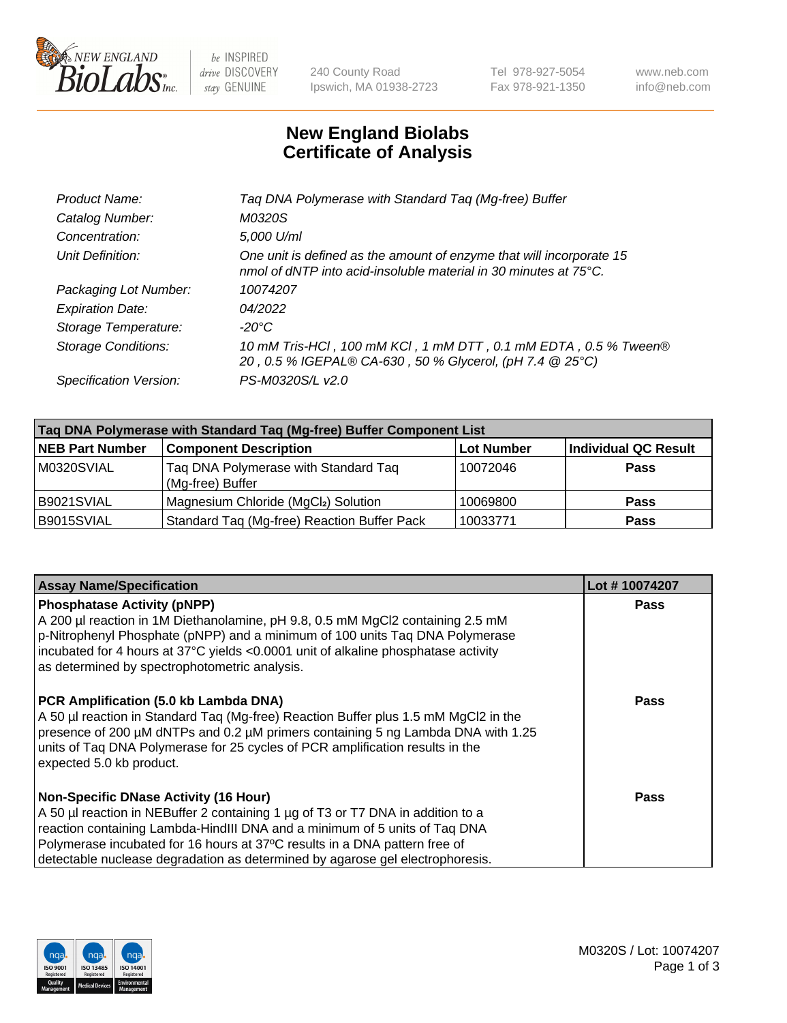

 $be$  INSPIRED drive DISCOVERY stay GENUINE

240 County Road Ipswich, MA 01938-2723 Tel 978-927-5054 Fax 978-921-1350 www.neb.com info@neb.com

## **New England Biolabs Certificate of Analysis**

| Taq DNA Polymerase with Standard Taq (Mg-free) Buffer                                                                                    |
|------------------------------------------------------------------------------------------------------------------------------------------|
| M0320S                                                                                                                                   |
| 5,000 U/ml                                                                                                                               |
| One unit is defined as the amount of enzyme that will incorporate 15<br>nmol of dNTP into acid-insoluble material in 30 minutes at 75°C. |
| 10074207                                                                                                                                 |
| 04/2022                                                                                                                                  |
| $-20^{\circ}$ C                                                                                                                          |
| 10 mM Tris-HCl, 100 mM KCl, 1 mM DTT, 0.1 mM EDTA, 0.5 % Tween®<br>20, 0.5 % IGEPAL® CA-630, 50 % Glycerol, (pH 7.4 @ 25°C)              |
| PS-M0320S/L v2.0                                                                                                                         |
|                                                                                                                                          |

| Taq DNA Polymerase with Standard Taq (Mg-free) Buffer Component List |                                                          |                   |                             |  |  |
|----------------------------------------------------------------------|----------------------------------------------------------|-------------------|-----------------------------|--|--|
| <b>NEB Part Number</b>                                               | <b>Component Description</b>                             | <b>Lot Number</b> | <b>Individual QC Result</b> |  |  |
| M0320SVIAL                                                           | Tag DNA Polymerase with Standard Tag<br>(Mg-free) Buffer | 10072046          | <b>Pass</b>                 |  |  |
| B9021SVIAL                                                           | Magnesium Chloride (MgCl2) Solution                      | 10069800          | Pass                        |  |  |
| B9015SVIAL                                                           | Standard Taq (Mg-free) Reaction Buffer Pack              | 10033771          | <b>Pass</b>                 |  |  |

| <b>Assay Name/Specification</b>                                                                                                                                                                                                                                                                                                                                              | Lot #10074207 |
|------------------------------------------------------------------------------------------------------------------------------------------------------------------------------------------------------------------------------------------------------------------------------------------------------------------------------------------------------------------------------|---------------|
| <b>Phosphatase Activity (pNPP)</b><br>A 200 µl reaction in 1M Diethanolamine, pH 9.8, 0.5 mM MgCl2 containing 2.5 mM<br>p-Nitrophenyl Phosphate (pNPP) and a minimum of 100 units Taq DNA Polymerase<br>incubated for 4 hours at 37°C yields <0.0001 unit of alkaline phosphatase activity<br>as determined by spectrophotometric analysis.                                  | <b>Pass</b>   |
| PCR Amplification (5.0 kb Lambda DNA)<br>A 50 µl reaction in Standard Taq (Mg-free) Reaction Buffer plus 1.5 mM MgCl2 in the<br>presence of 200 µM dNTPs and 0.2 µM primers containing 5 ng Lambda DNA with 1.25<br>units of Tag DNA Polymerase for 25 cycles of PCR amplification results in the<br>expected 5.0 kb product.                                                | Pass          |
| <b>Non-Specific DNase Activity (16 Hour)</b><br>A 50 µl reaction in NEBuffer 2 containing 1 µg of T3 or T7 DNA in addition to a<br>reaction containing Lambda-HindIII DNA and a minimum of 5 units of Taq DNA<br>Polymerase incubated for 16 hours at 37°C results in a DNA pattern free of<br>detectable nuclease degradation as determined by agarose gel electrophoresis. | Pass          |

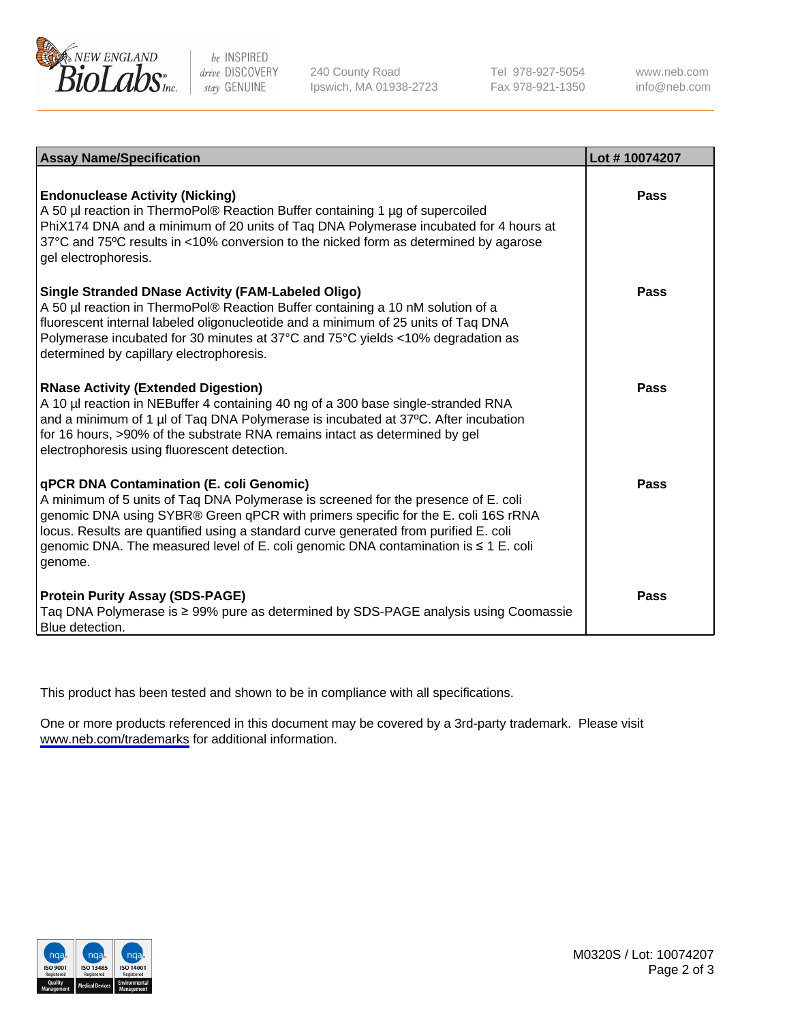

be INSPIRED drive DISCOVERY stay GENUINE

240 County Road Ipswich, MA 01938-2723 Tel 978-927-5054 Fax 978-921-1350

www.neb.com info@neb.com

| <b>Assay Name/Specification</b>                                                                                                                                                                                                                                                                                                                                                                                           | Lot #10074207 |
|---------------------------------------------------------------------------------------------------------------------------------------------------------------------------------------------------------------------------------------------------------------------------------------------------------------------------------------------------------------------------------------------------------------------------|---------------|
| <b>Endonuclease Activity (Nicking)</b><br>A 50 µl reaction in ThermoPol® Reaction Buffer containing 1 µg of supercoiled<br>PhiX174 DNA and a minimum of 20 units of Taq DNA Polymerase incubated for 4 hours at<br>37°C and 75°C results in <10% conversion to the nicked form as determined by agarose<br>gel electrophoresis.                                                                                           | Pass          |
| <b>Single Stranded DNase Activity (FAM-Labeled Oligo)</b><br>A 50 µl reaction in ThermoPol® Reaction Buffer containing a 10 nM solution of a<br>fluorescent internal labeled oligonucleotide and a minimum of 25 units of Taq DNA<br>Polymerase incubated for 30 minutes at 37°C and 75°C yields <10% degradation as<br>determined by capillary electrophoresis.                                                          | Pass          |
| <b>RNase Activity (Extended Digestion)</b><br>A 10 µl reaction in NEBuffer 4 containing 40 ng of a 300 base single-stranded RNA<br>and a minimum of 1 µl of Taq DNA Polymerase is incubated at 37°C. After incubation<br>for 16 hours, >90% of the substrate RNA remains intact as determined by gel<br>electrophoresis using fluorescent detection.                                                                      | Pass          |
| <b>qPCR DNA Contamination (E. coli Genomic)</b><br>A minimum of 5 units of Taq DNA Polymerase is screened for the presence of E. coli<br>genomic DNA using SYBR® Green qPCR with primers specific for the E. coli 16S rRNA<br>locus. Results are quantified using a standard curve generated from purified E. coli<br>genomic DNA. The measured level of E. coli genomic DNA contamination is $\leq 1$ E. coli<br>genome. | Pass          |
| <b>Protein Purity Assay (SDS-PAGE)</b><br>Taq DNA Polymerase is ≥ 99% pure as determined by SDS-PAGE analysis using Coomassie<br>Blue detection.                                                                                                                                                                                                                                                                          | Pass          |

This product has been tested and shown to be in compliance with all specifications.

One or more products referenced in this document may be covered by a 3rd-party trademark. Please visit <www.neb.com/trademarks>for additional information.